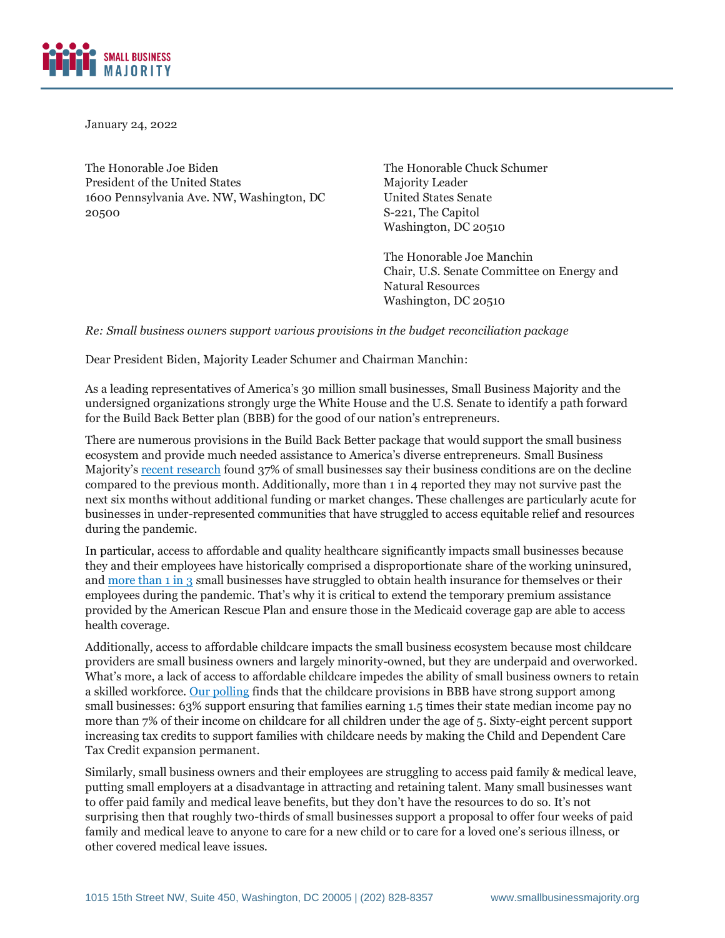

January 24, 2022

The Honorable Joe Biden President of the United States 1600 Pennsylvania Ave. NW, Washington, DC 20500

The Honorable Chuck Schumer Majority Leader United States Senate S-221, The Capitol Washington, DC 20510

The Honorable Joe Manchin Chair, U.S. Senate Committee on Energy and Natural Resources Washington, DC 20510

*Re: Small business owners support various provisions in the budget reconciliation package* 

Dear President Biden, Majority Leader Schumer and Chairman Manchin:

As a leading representatives of America's 30 million small businesses, Small Business Majority and the undersigned organizations strongly urge the White House and the U.S. Senate to identify a path forward for the Build Back Better plan (BBB) for the good of our nation's entrepreneurs.

There are numerous provisions in the Build Back Better package that would support the small business ecosystem and provide much needed assistance to America's diverse entrepreneurs. Small Business Majority's [recent research](https://smallbusinessmajority.org/our-research/small-businesses-views-on-vaccine-mandates-supply-chain-disruptions-and-build-back-better) found 37% of small businesses say their business conditions are on the decline compared to the previous month. Additionally, more than 1 in 4 reported they may not survive past the next six months without additional funding or market changes. These challenges are particularly acute for businesses in under-represented communities that have struggled to access equitable relief and resources during the pandemic.

In particular, access to affordable and quality healthcare significantly impacts small businesses because they and their employees have historically comprised a disproportionate share of the working uninsured, and [more than 1 in 3](https://smallbusinessmajority.org/our-research/healthcare/small-businesses-struggling-access-healthcare-during-covid-19-pandemic) small businesses have struggled to obtain health insurance for themselves or their employees during the pandemic. That's why it is critical to extend the temporary premium assistance provided by the American Rescue Plan and ensure those in the Medicaid coverage gap are able to access health coverage.

Additionally, access to affordable childcare impacts the small business ecosystem because most childcare providers are small business owners and largely minority-owned, but they are underpaid and overworked. What's more, a lack of access to affordable childcare impedes the ability of small business owners to retain a skilled workforce. [Our polling](https://smallbusinessmajority.org/our-research/small-businesses-support-bold-investments-child-care) finds that the childcare provisions in BBB have strong support among small businesses: 63% support ensuring that families earning 1.5 times their state median income pay no more than 7% of their income on childcare for all children under the age of 5. Sixty-eight percent support increasing tax credits to support families with childcare needs by making the Child and Dependent Care Tax Credit expansion permanent.

Similarly, small business owners and their employees are struggling to access paid family & medical leave, putting small employers at a disadvantage in attracting and retaining talent. Many small businesses want to offer paid family and medical leave benefits, but they don't have the resources to do so. It's not surprising then that roughly two-thirds of small businesses support a proposal to offer four weeks of paid family and medical leave to anyone to care for a new child or to care for a loved one's serious illness, or other covered medical leave issues.